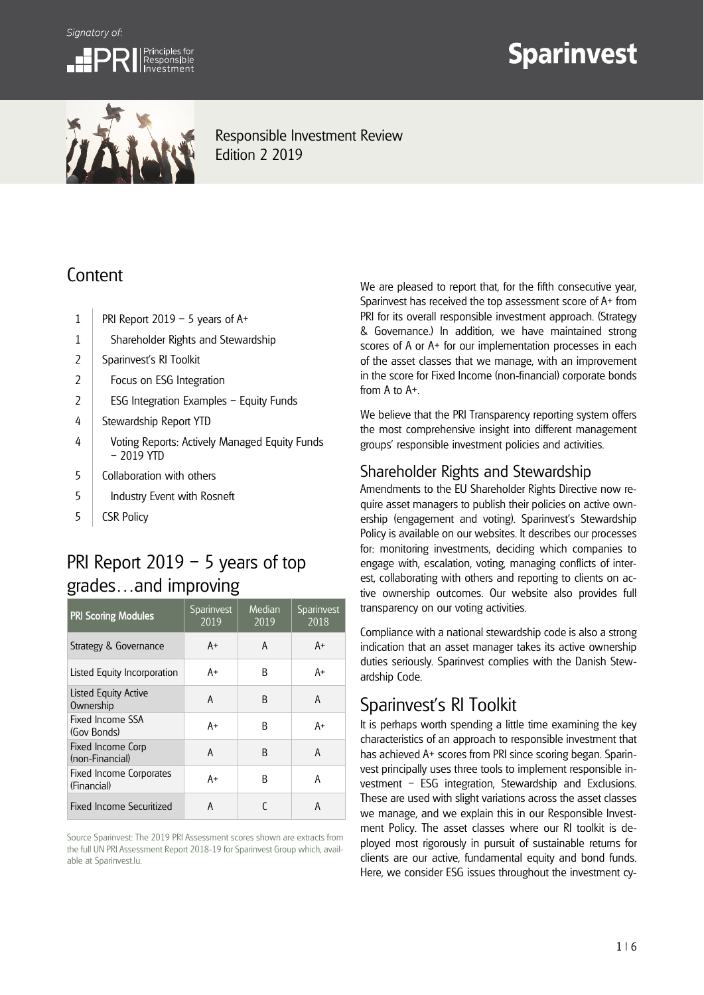



# **Sparinvest**



Responsible Investment Review Edition 2 2019

# **Content**

- 1 | PRI Report 2019 5 years of  $A^+$
- 1 Shareholder Rights and Stewardship
- 2 | Sparinvest's RI Toolkit
- 2 | Focus on ESG Integration
- 2 | ESG Integration Examples Equity Funds
- 4 Stewardship Report YTD
- 4 Voting Reports: Actively Managed Equity Funds – 2019 YTD
- 5 Collaboration with others
- 5 | Industry Event with Rosneft
- 5 CSR Policy

# PRI Report 2019 – 5 years of top grades…and improving

| <b>PRI Scoring Modules</b>             | Sparinvest<br>2019 | Median<br>2019 | Sparinvest<br>2018 |
|----------------------------------------|--------------------|----------------|--------------------|
| Strategy & Governance                  | A+                 | A              | A+                 |
| Listed Equity Incorporation            | A+                 | R              | A+                 |
| Listed Equity Active<br>Ownership      | A                  | B              | A                  |
| Fixed Income SSA<br>(Gov Bonds)        | A+                 | R              | A+                 |
| Fixed Income Corp<br>(non-Financial)   | A                  | R              | A                  |
| Fixed Income Corporates<br>(Financial) | A+                 | R              | A                  |
| Fixed Income Securitized               | A                  |                | A                  |

Source Sparinvest: The 2019 PRI Assessment scores shown are extracts from the full UN PRI Assessment Report 2018-19 for Sparinvest Group which, available at Sparinvest.lu.

We are pleased to report that, for the fifth consecutive year, Sparinvest has received the top assessment score of A+ from PRI for its overall responsible investment approach. (Strategy & Governance.) In addition, we have maintained strong scores of A or A+ for our implementation processes in each of the asset classes that we manage, with an improvement in the score for Fixed Income (non-financial) corporate bonds from A to A+.

We believe that the PRI Transparency reporting system offers the most comprehensive insight into different management groups' responsible investment policies and activities.

### Shareholder Rights and Stewardship

Amendments to the EU Shareholder Rights Directive now require asset managers to publish their policies on active ownership (engagement and voting). Sparinvest's Stewardship Policy is available on our websites. It describes our processes for: monitoring investments, deciding which companies to engage with, escalation, voting, managing conflicts of interest, collaborating with others and reporting to clients on active ownership outcomes. Our website also provides full transparency on our voting activities.

Compliance with a national stewardship code is also a strong indication that an asset manager takes its active ownership duties seriously. Sparinvest complies with the Danish Stewardship Code.

# Sparinvest's RI Toolkit

It is perhaps worth spending a little time examining the key characteristics of an approach to responsible investment that has achieved A+ scores from PRI since scoring began. Sparinvest principally uses three tools to implement responsible investment – ESG integration, Stewardship and Exclusions. These are used with slight variations across the asset classes we manage, and we explain this in our Responsible Investment Policy. The asset classes where our RI toolkit is deployed most rigorously in pursuit of sustainable returns for clients are our active, fundamental equity and bond funds. Here, we consider ESG issues throughout the investment cy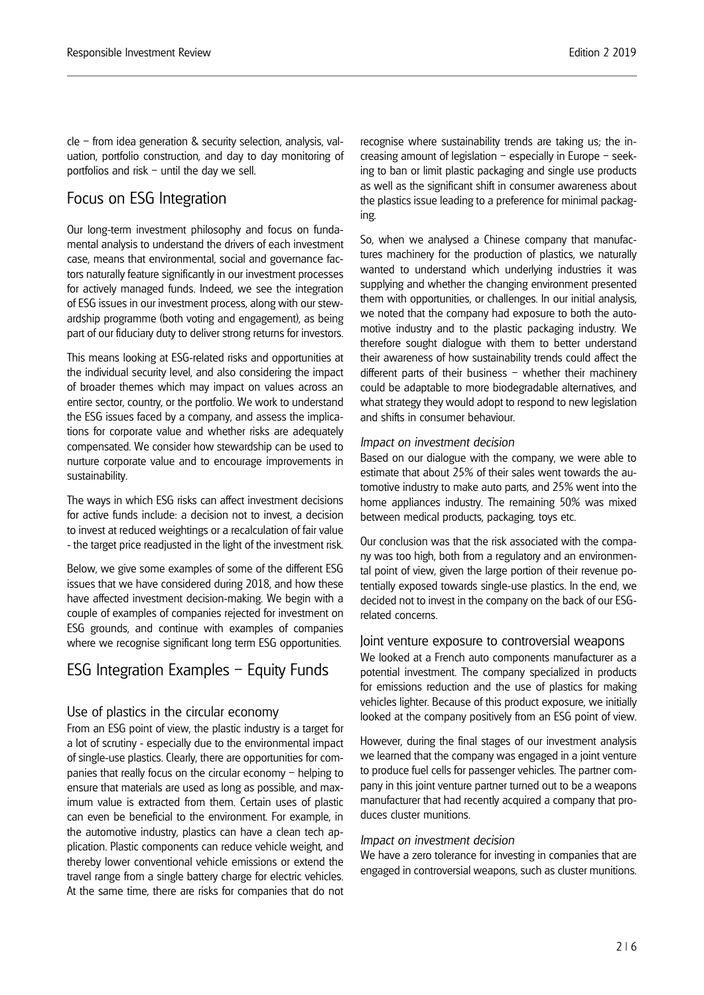cle – from idea generation & security selection, analysis, valuation, portfolio construction, and day to day monitoring of portfolios and risk – until the day we sell.

### Focus on ESG Integration

Our long-term investment philosophy and focus on fundamental analysis to understand the drivers of each investment case, means that environmental, social and governance factors naturally feature significantly in our investment processes for actively managed funds. Indeed, we see the integration of ESG issues in our investment process, along with our stewardship programme (both voting and engagement), as being part of our fiduciary duty to deliver strong returns for investors.

This means looking at ESG-related risks and opportunities at the individual security level, and also considering the impact of broader themes which may impact on values across an entire sector, country, or the portfolio. We work to understand the ESG issues faced by a company, and assess the implications for corporate value and whether risks are adequately compensated. We consider how stewardship can be used to nurture corporate value and to encourage improvements in sustainability.

The ways in which ESG risks can affect investment decisions for active funds include: a decision not to invest, a decision to invest at reduced weightings or a recalculation of fair value - the target price readjusted in the light of the investment risk.

Below, we give some examples of some of the different ESG issues that we have considered during 2018, and how these have affected investment decision-making. We begin with a couple of examples of companies rejected for investment on ESG grounds, and continue with examples of companies where we recognise significant long term ESG opportunities.

### ESG Integration Examples – Equity Funds

#### Use of plastics in the circular economy

From an ESG point of view, the plastic industry is a target for a lot of scrutiny - especially due to the environmental impact of single-use plastics. Clearly, there are opportunities for companies that really focus on the circular economy – helping to ensure that materials are used as long as possible, and maximum value is extracted from them. Certain uses of plastic can even be beneficial to the environment. For example, in the automotive industry, plastics can have a clean tech application. Plastic components can reduce vehicle weight, and thereby lower conventional vehicle emissions or extend the travel range from a single battery charge for electric vehicles. At the same time, there are risks for companies that do not

recognise where sustainability trends are taking us; the increasing amount of legislation – especially in Europe – seeking to ban or limit plastic packaging and single use products as well as the significant shift in consumer awareness about the plastics issue leading to a preference for minimal packaging.

So, when we analysed a Chinese company that manufactures machinery for the production of plastics, we naturally wanted to understand which underlying industries it was supplying and whether the changing environment presented them with opportunities, or challenges. In our initial analysis, we noted that the company had exposure to both the automotive industry and to the plastic packaging industry. We therefore sought dialogue with them to better understand their awareness of how sustainability trends could affect the different parts of their business – whether their machinery could be adaptable to more biodegradable alternatives, and what strategy they would adopt to respond to new legislation and shifts in consumer behaviour.

#### *Impact on investment decision*

Based on our dialogue with the company, we were able to estimate that about 25% of their sales went towards the automotive industry to make auto parts, and 25% went into the home appliances industry. The remaining 50% was mixed between medical products, packaging, toys etc.

Our conclusion was that the risk associated with the company was too high, both from a regulatory and an environmental point of view, given the large portion of their revenue potentially exposed towards single-use plastics. In the end, we decided not to invest in the company on the back of our ESGrelated concerns.

#### Joint venture exposure to controversial weapons

We looked at a French auto components manufacturer as a potential investment. The company specialized in products for emissions reduction and the use of plastics for making vehicles lighter. Because of this product exposure, we initially looked at the company positively from an ESG point of view.

However, during the final stages of our investment analysis we learned that the company was engaged in a joint venture to produce fuel cells for passenger vehicles. The partner company in this joint venture partner turned out to be a weapons manufacturer that had recently acquired a company that produces cluster munitions.

#### *Impact on investment decision*

We have a zero tolerance for investing in companies that are engaged in controversial weapons, such as cluster munitions.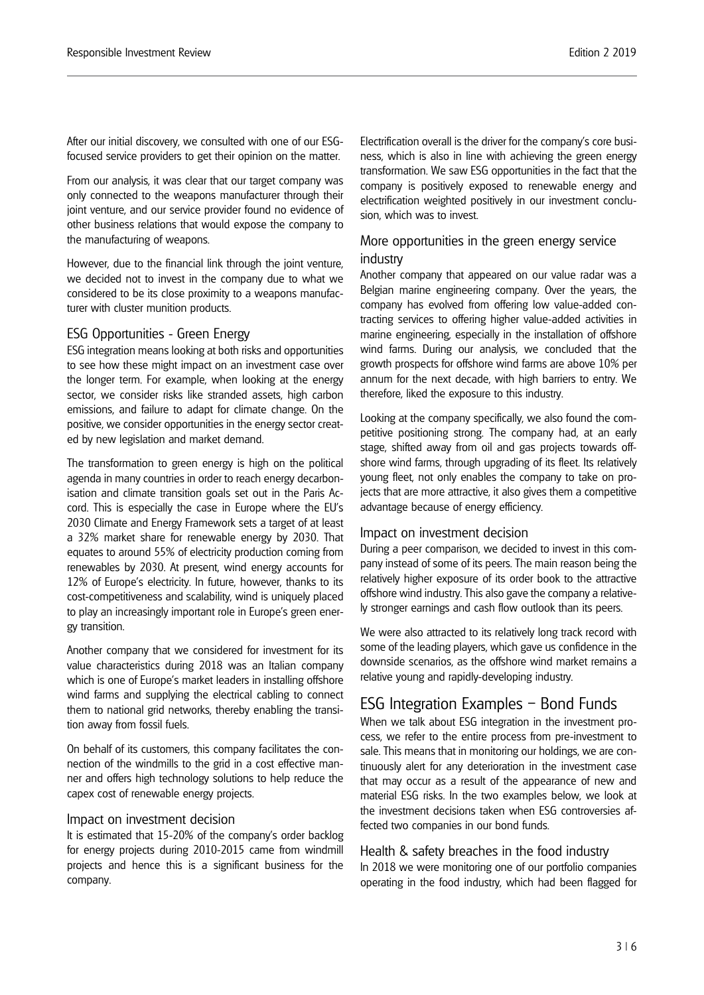After our initial discovery, we consulted with one of our ESGfocused service providers to get their opinion on the matter.

From our analysis, it was clear that our target company was only connected to the weapons manufacturer through their joint venture, and our service provider found no evidence of other business relations that would expose the company to the manufacturing of weapons.

However, due to the financial link through the joint venture, we decided not to invest in the company due to what we considered to be its close proximity to a weapons manufacturer with cluster munition products.

#### ESG Opportunities - Green Energy

ESG integration means looking at both risks and opportunities to see how these might impact on an investment case over the longer term. For example, when looking at the energy sector, we consider risks like stranded assets, high carbon emissions, and failure to adapt for climate change. On the positive, we consider opportunities in the energy sector created by new legislation and market demand.

The transformation to green energy is high on the political agenda in many countries in order to reach energy decarbonisation and climate transition goals set out in the Paris Accord. This is especially the case in Europe where the EU's 2030 Climate and Energy Framework sets a target of at least a 32% market share for renewable energy by 2030. That equates to around 55% of electricity production coming from renewables by 2030. At present, wind energy accounts for 12% of Europe's electricity. In future, however, thanks to its cost-competitiveness and scalability, wind is uniquely placed to play an increasingly important role in Europe's green energy transition.

Another company that we considered for investment for its value characteristics during 2018 was an Italian company which is one of Europe's market leaders in installing offshore wind farms and supplying the electrical cabling to connect them to national grid networks, thereby enabling the transition away from fossil fuels.

On behalf of its customers, this company facilitates the connection of the windmills to the grid in a cost effective manner and offers high technology solutions to help reduce the capex cost of renewable energy projects.

#### Impact on investment decision

It is estimated that 15-20% of the company's order backlog for energy projects during 2010-2015 came from windmill projects and hence this is a significant business for the company.

Electrification overall is the driver for the company's core business, which is also in line with achieving the green energy transformation. We saw ESG opportunities in the fact that the company is positively exposed to renewable energy and electrification weighted positively in our investment conclusion, which was to invest.

#### More opportunities in the green energy service industry

Another company that appeared on our value radar was a Belgian marine engineering company. Over the years, the company has evolved from offering low value-added contracting services to offering higher value-added activities in marine engineering, especially in the installation of offshore wind farms. During our analysis, we concluded that the growth prospects for offshore wind farms are above 10% per annum for the next decade, with high barriers to entry. We therefore, liked the exposure to this industry.

Looking at the company specifically, we also found the competitive positioning strong. The company had, at an early stage, shifted away from oil and gas projects towards offshore wind farms, through upgrading of its fleet. Its relatively young fleet, not only enables the company to take on projects that are more attractive, it also gives them a competitive advantage because of energy efficiency.

#### Impact on investment decision

During a peer comparison, we decided to invest in this company instead of some of its peers. The main reason being the relatively higher exposure of its order book to the attractive offshore wind industry. This also gave the company a relatively stronger earnings and cash flow outlook than its peers.

We were also attracted to its relatively long track record with some of the leading players, which gave us confidence in the downside scenarios, as the offshore wind market remains a relative young and rapidly-developing industry.

### ESG Integration Examples – Bond Funds

When we talk about ESG integration in the investment process, we refer to the entire process from pre-investment to sale. This means that in monitoring our holdings, we are continuously alert for any deterioration in the investment case that may occur as a result of the appearance of new and material ESG risks. In the two examples below, we look at the investment decisions taken when ESG controversies affected two companies in our bond funds.

#### Health & safety breaches in the food industry

In 2018 we were monitoring one of our portfolio companies operating in the food industry, which had been flagged for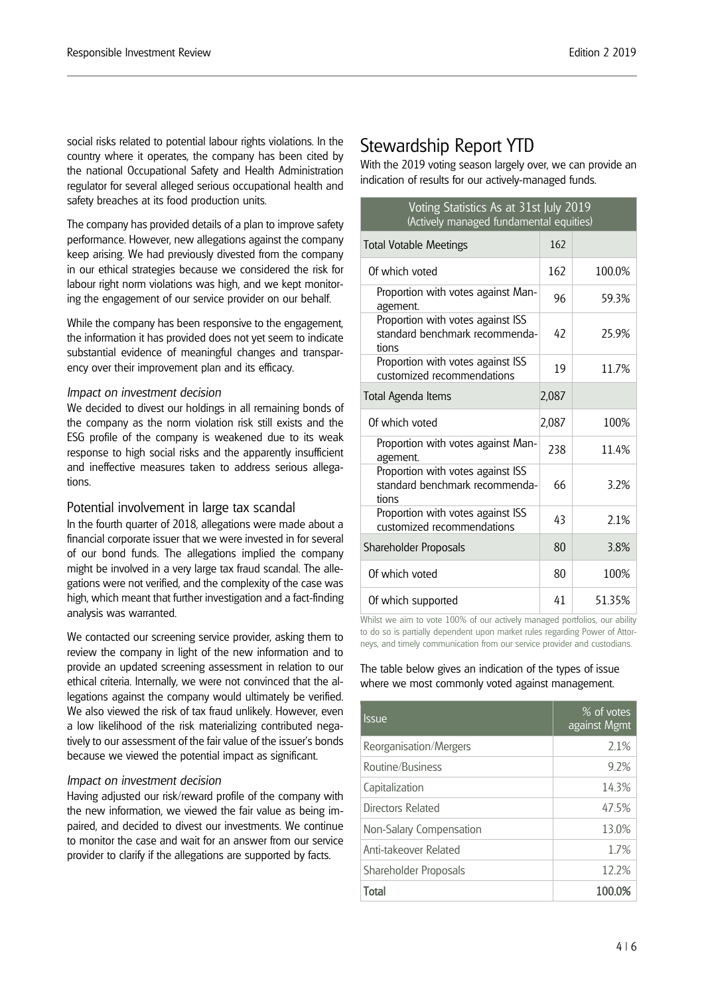social risks related to potential labour rights violations. In the country where it operates, the company has been cited by the national Occupational Safety and Health Administration regulator for several alleged serious occupational health and safety breaches at its food production units.

The company has provided details of a plan to improve safety performance. However, new allegations against the company keep arising. We had previously divested from the company in our ethical strategies because we considered the risk for labour right norm violations was high, and we kept monitoring the engagement of our service provider on our behalf.

While the company has been responsive to the engagement, the information it has provided does not yet seem to indicate substantial evidence of meaningful changes and transparency over their improvement plan and its efficacy.

#### *Impact on investment decision*

We decided to divest our holdings in all remaining bonds of the company as the norm violation risk still exists and the ESG profile of the company is weakened due to its weak response to high social risks and the apparently insufficient and ineffective measures taken to address serious allegations.

#### Potential involvement in large tax scandal

In the fourth quarter of 2018, allegations were made about a financial corporate issuer that we were invested in for several of our bond funds. The allegations implied the company might be involved in a very large tax fraud scandal. The allegations were not verified, and the complexity of the case was high, which meant that further investigation and a fact-finding analysis was warranted.

We contacted our screening service provider, asking them to review the company in light of the new information and to provide an updated screening assessment in relation to our ethical criteria. Internally, we were not convinced that the allegations against the company would ultimately be verified. We also viewed the risk of tax fraud unlikely. However, even a low likelihood of the risk materializing contributed negatively to our assessment of the fair value of the issuer's bonds because we viewed the potential impact as significant.

#### *Impact on investment decision*

Having adjusted our risk/reward profile of the company with the new information, we viewed the fair value as being impaired, and decided to divest our investments. We continue to monitor the case and wait for an answer from our service provider to clarify if the allegations are supported by facts.

### Stewardship Report YTD

With the 2019 voting season largely over, we can provide an indication of results for our actively-managed funds.

| Voting Statistics As at 31st July 2019<br>(Actively managed fundamental equities) |       |        |  |  |
|-----------------------------------------------------------------------------------|-------|--------|--|--|
| <b>Total Votable Meetings</b>                                                     | 162   |        |  |  |
| Of which voted                                                                    | 162   | 100.0% |  |  |
| Proportion with votes against Man-<br>agement.                                    | 96    | 59.3%  |  |  |
| Proportion with votes against ISS<br>standard benchmark recommenda-<br>tions      | 42    | 25.9%  |  |  |
| Proportion with votes against ISS<br>customized recommendations                   | 19    | 11.7%  |  |  |
| Total Agenda Items                                                                | 2,087 |        |  |  |
| Of which voted                                                                    | 2,087 | 100%   |  |  |
| Proportion with votes against Man-<br>agement.                                    | 238   | 11.4%  |  |  |
| Proportion with votes against ISS<br>standard benchmark recommenda-               |       |        |  |  |
| tions                                                                             | 66    | 3.2%   |  |  |
| Proportion with votes against ISS<br>customized recommendations                   | 43    | 2.1%   |  |  |
| Shareholder Proposals                                                             | 80    | 3.8%   |  |  |
| Of which voted                                                                    | 80    | 100%   |  |  |

Whilst we aim to vote 100% of our actively managed portfolios, our ability to do so is partially dependent upon market rules regarding Power of Attorneys, and timely communication from our service provider and custodians.

The table below gives an indication of the types of issue where we most commonly voted against management.

| <i><u><b>Issue</b></u></i> | % of votes<br>against Mgmt |
|----------------------------|----------------------------|
| Reorganisation/Mergers     | 2.1%                       |
| Routine/Business           | 9.2%                       |
| Capitalization             | 14.3%                      |
| Directors Related          | 47.5%                      |
| Non-Salary Compensation    | 13.0%                      |
| Anti-takeover Related      | 1.7%                       |
| Shareholder Proposals      | 12.2%                      |
| Total                      | 100.09                     |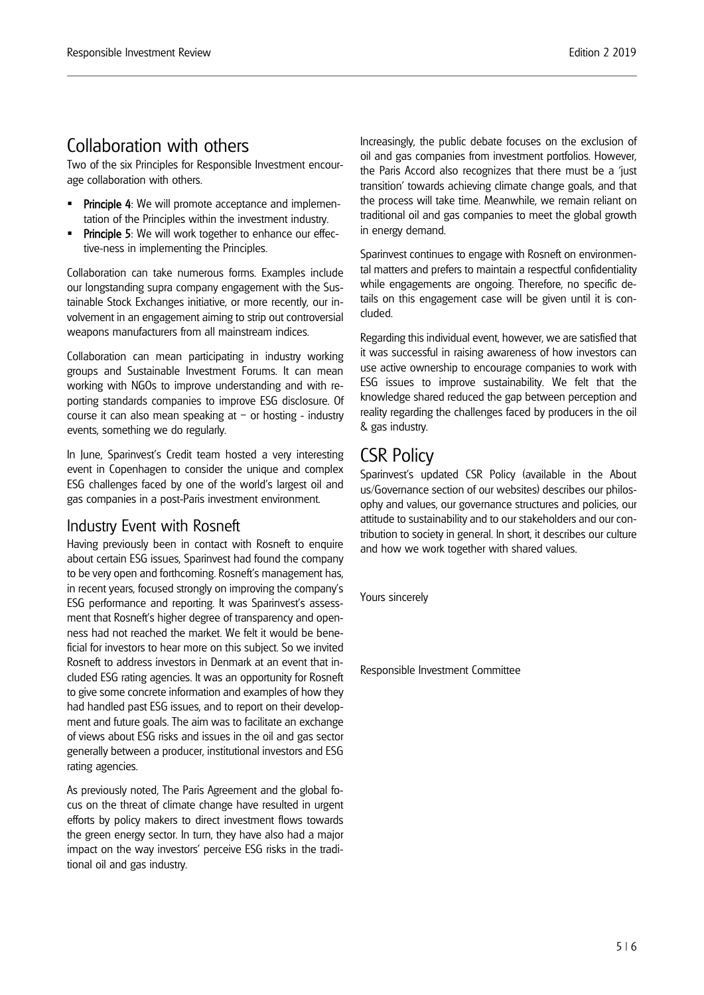## Collaboration with others

Two of the six Principles for Responsible Investment encourage collaboration with others.

- Principle 4: We will promote acceptance and implementation of the Principles within the investment industry.
- Principle 5: We will work together to enhance our effective-ness in implementing the Principles.

Collaboration can take numerous forms. Examples include our longstanding supra company engagement with the Sustainable Stock Exchanges initiative, or more recently, our involvement in an engagement aiming to strip out controversial weapons manufacturers from all mainstream indices.

Collaboration can mean participating in industry working groups and Sustainable Investment Forums. It can mean working with NGOs to improve understanding and with reporting standards companies to improve ESG disclosure. Of course it can also mean speaking at  $-$  or hosting - industry events, something we do regularly.

In June, Sparinvest's Credit team hosted a very interesting event in Copenhagen to consider the unique and complex ESG challenges faced by one of the world's largest oil and gas companies in a post-Paris investment environment.

### Industry Event with Rosneft

Having previously been in contact with Rosneft to enquire about certain ESG issues, Sparinvest had found the company to be very open and forthcoming. Rosneft's management has, in recent years, focused strongly on improving the company's ESG performance and reporting. It was Sparinvest's assessment that Rosneft's higher degree of transparency and openness had not reached the market. We felt it would be beneficial for investors to hear more on this subject. So we invited Rosneft to address investors in Denmark at an event that included ESG rating agencies. It was an opportunity for Rosneft to give some concrete information and examples of how they had handled past ESG issues, and to report on their development and future goals. The aim was to facilitate an exchange of views about ESG risks and issues in the oil and gas sector generally between a producer, institutional investors and ESG rating agencies.

As previously noted, The Paris Agreement and the global focus on the threat of climate change have resulted in urgent efforts by policy makers to direct investment flows towards the green energy sector. In turn, they have also had a major impact on the way investors' perceive ESG risks in the traditional oil and gas industry.

Increasingly, the public debate focuses on the exclusion of oil and gas companies from investment portfolios. However, the Paris Accord also recognizes that there must be a 'just transition' towards achieving climate change goals, and that the process will take time. Meanwhile, we remain reliant on traditional oil and gas companies to meet the global growth in energy demand.

Sparinvest continues to engage with Rosneft on environmental matters and prefers to maintain a respectful confidentiality while engagements are ongoing. Therefore, no specific details on this engagement case will be given until it is concluded.

Regarding this individual event, however, we are satisfied that it was successful in raising awareness of how investors can use active ownership to encourage companies to work with ESG issues to improve sustainability. We felt that the knowledge shared reduced the gap between perception and reality regarding the challenges faced by producers in the oil & gas industry.

# CSR Policy

Sparinvest's updated CSR Policy (available in the About us/Governance section of our websites) describes our philosophy and values, our governance structures and policies, our attitude to sustainability and to our stakeholders and our contribution to society in general. In short, it describes our culture and how we work together with shared values.

Yours sincerely

Responsible Investment Committee